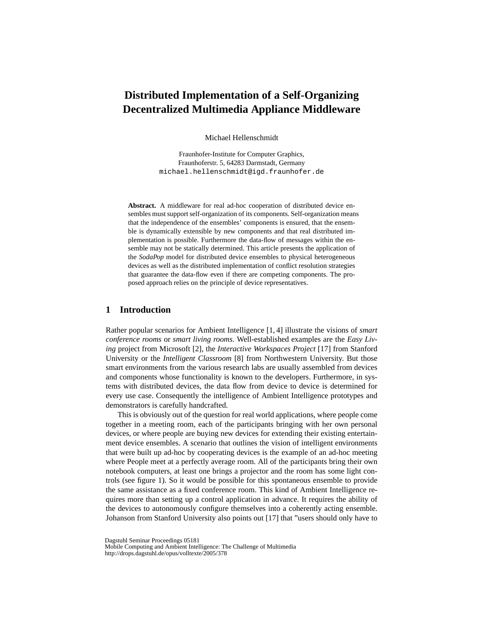# **Distributed Implementation of a Self-Organizing Decentralized Multimedia Appliance Middleware**

Michael Hellenschmidt

Fraunhofer-Institute for Computer Graphics, Fraunhoferstr. 5, 64283 Darmstadt, Germany michael.hellenschmidt@igd.fraunhofer.de

**Abstract.** A middleware for real ad-hoc cooperation of distributed device ensembles must support self-organization of its components. Self-organization means that the independence of the ensembles' components is ensured, that the ensemble is dynamically extensible by new components and that real distributed implementation is possible. Furthermore the data-flow of messages within the ensemble may not be statically determined. This article presents the application of the *SodaPop* model for distributed device ensembles to physical heterogeneous devices as well as the distributed implementation of conflict resolution strategies that guarantee the data-flow even if there are competing components. The proposed approach relies on the principle of device representatives.

## **1 Introduction**

Rather popular scenarios for Ambient Intelligence [1, 4] illustrate the visions of *smart conference rooms* or *smart living rooms*. Well-established examples are the *Easy Living* project from Microsoft [2], the *Interactive Workspaces Project* [17] from Stanford University or the *Intelligent Classroom* [8] from Northwestern University. But those smart environments from the various research labs are usually assembled from devices and components whose functionality is known to the developers. Furthermore, in systems with distributed devices, the data flow from device to device is determined for every use case. Consequently the intelligence of Ambient Intelligence prototypes and demonstrators is carefully handcrafted.

This is obviously out of the question for real world applications, where people come together in a meeting room, each of the participants bringing with her own personal devices, or where people are buying new devices for extending their existing entertainment device ensembles. A scenario that outlines the vision of intelligent environments that were built up ad-hoc by cooperating devices is the example of an ad-hoc meeting where People meet at a perfectly average room. All of the participants bring their own notebook computers, at least one brings a projector and the room has some light controls (see figure 1). So it would be possible for this spontaneous ensemble to provide the same assistance as a fixed conference room. This kind of Ambient Intelligence requires more than setting up a control application in advance. It requires the ability of the devices to autonomously configure themselves into a coherently acting ensemble. Johanson from Stanford University also points out [17] that "users should only have to

Dagstuhl Seminar Proceedings 05181

Mobile Computing and Ambient Intelligence: The Challenge of Multimedia http://drops.dagstuhl.de/opus/volltexte/2005/378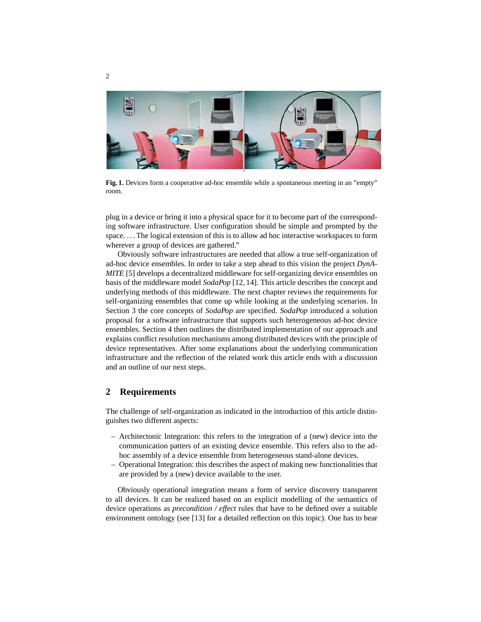

**Fig. 1.** Devices form a cooperative ad-hoc ensemble while a spontaneous meeting in an "empty" room.

plug in a device or bring it into a physical space for it to become part of the corresponding software infrastructure. User configuration should be simple and prompted by the space. . . . The logical extension of this is to allow ad hoc interactive workspaces to form wherever a group of devices are gathered."

Obviously software infrastructures are needed that allow a true self-organization of ad-hoc device ensembles. In order to take a step ahead to this vision the project *DynA-MITE* [5] develops a decentralized middleware for self-organizing device ensembles on basis of the middleware model *SodaPop* [12, 14]. This article describes the concept and underlying methods of this middleware. The next chapter reviews the requirements for self-organizing ensembles that come up while looking at the underlying scenarios. In Section 3 the core concepts of *SodaPop* are specified. *SodaPop* introduced a solution proposal for a software infrastructure that supports such heterogeneous ad-hoc device ensembles. Section 4 then outlines the distributed implementation of our approach and explains conflict resolution mechanisms among distributed devices with the principle of device representatives. After some explanations about the underlying communication infrastructure and the reflection of the related work this article ends with a discussion and an outline of our next steps.

## **2 Requirements**

The challenge of self-organization as indicated in the introduction of this article distinguishes two different aspects:

- Architectonic Integration: this refers to the integration of a (new) device into the communication patters of an existing device ensemble. This refers also to the adhoc assembly of a device ensemble from heterogeneous stand-alone devices.
- Operational Integration: this describes the aspect of making new functionalities that are provided by a (new) device available to the user.

Obviously operational integration means a form of service discovery transparent to all devices. It can be realized based on an explicit modelling of the semantics of device operations as *precondition / effect* rules that have to be defined over a suitable environment ontology (see [13] for a detailed reflection on this topic). One has to bear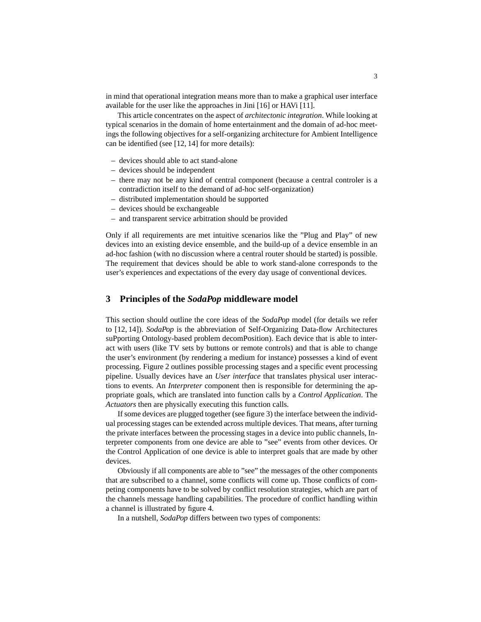in mind that operational integration means more than to make a graphical user interface available for the user like the approaches in Jini [16] or HAVi [11].

This article concentrates on the aspect of *architectonic integration*. While looking at typical scenarios in the domain of home entertainment and the domain of ad-hoc meetings the following objectives for a self-organizing architecture for Ambient Intelligence can be identified (see [12, 14] for more details):

- devices should able to act stand-alone
- devices should be independent
- there may not be any kind of central component (because a central controler is a contradiction itself to the demand of ad-hoc self-organization)
- distributed implementation should be supported
- devices should be exchangeable
- and transparent service arbitration should be provided

Only if all requirements are met intuitive scenarios like the "Plug and Play" of new devices into an existing device ensemble, and the build-up of a device ensemble in an ad-hoc fashion (with no discussion where a central router should be started) is possible. The requirement that devices should be able to work stand-alone corresponds to the user's experiences and expectations of the every day usage of conventional devices.

### **3 Principles of the** *SodaPop* **middleware model**

This section should outline the core ideas of the *SodaPop* model (for details we refer to [12, 14]). *SodaPop* is the abbreviation of Self-Organizing Data-flow Architectures suPporting Ontology-based problem decomPosition). Each device that is able to interact with users (like TV sets by buttons or remote controls) and that is able to change the user's environment (by rendering a medium for instance) possesses a kind of event processing. Figure 2 outlines possible processing stages and a specific event processing pipeline. Usually devices have an *User interface* that translates physical user interactions to events. An *Interpreter* component then is responsible for determining the appropriate goals, which are translated into function calls by a *Control Application*. The *Actuators* then are physically executing this function calls.

If some devices are plugged together (see figure 3) the interface between the individual processing stages can be extended across multiple devices. That means, after turning the private interfaces between the processing stages in a device into public channels, Interpreter components from one device are able to "see" events from other devices. Or the Control Application of one device is able to interpret goals that are made by other devices.

Obviously if all components are able to "see" the messages of the other components that are subscribed to a channel, some conflicts will come up. Those conflicts of competing components have to be solved by conflict resolution strategies, which are part of the channels message handling capabilities. The procedure of conflict handling within a channel is illustrated by figure 4.

In a nutshell, *SodaPop* differs between two types of components: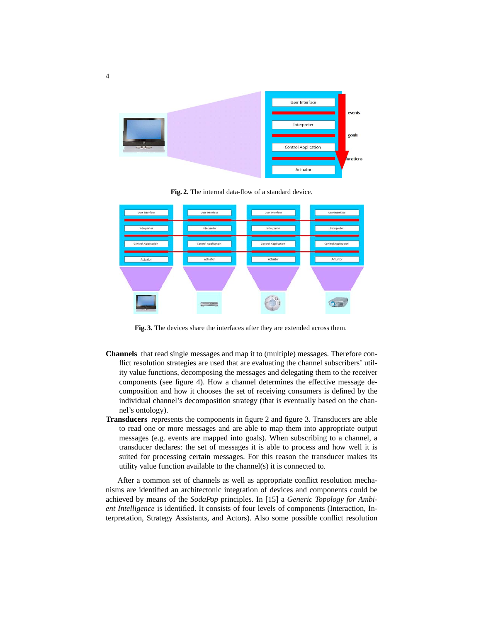

**Fig. 2.** The internal data-flow of a standard device.



**Fig. 3.** The devices share the interfaces after they are extended across them.

- **Channels** that read single messages and map it to (multiple) messages. Therefore conflict resolution strategies are used that are evaluating the channel subscribers' utility value functions, decomposing the messages and delegating them to the receiver components (see figure 4). How a channel determines the effective message decomposition and how it chooses the set of receiving consumers is defined by the individual channel's decomposition strategy (that is eventually based on the channel's ontology).
- **Transducers** represents the components in figure 2 and figure 3. Transducers are able to read one or more messages and are able to map them into appropriate output messages (e.g. events are mapped into goals). When subscribing to a channel, a transducer declares: the set of messages it is able to process and how well it is suited for processing certain messages. For this reason the transducer makes its utility value function available to the channel(s) it is connected to.

After a common set of channels as well as appropriate conflict resolution mechanisms are identified an architectonic integration of devices and components could be achieved by means of the *SodaPop* principles. In [15] a *Generic Topology for Ambient Intelligence* is identified. It consists of four levels of components (Interaction, Interpretation, Strategy Assistants, and Actors). Also some possible conflict resolution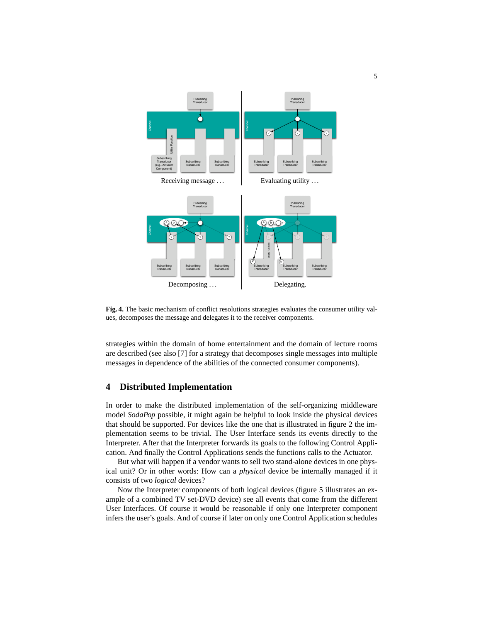

**Fig. 4.** The basic mechanism of conflict resolutions strategies evaluates the consumer utility values, decomposes the message and delegates it to the receiver components.

strategies within the domain of home entertainment and the domain of lecture rooms are described (see also [7] for a strategy that decomposes single messages into multiple messages in dependence of the abilities of the connected consumer components).

## **4 Distributed Implementation**

In order to make the distributed implementation of the self-organizing middleware model *SodaPop* possible, it might again be helpful to look inside the physical devices that should be supported. For devices like the one that is illustrated in figure 2 the implementation seems to be trivial. The User Interface sends its events directly to the Interpreter. After that the Interpreter forwards its goals to the following Control Application. And finally the Control Applications sends the functions calls to the Actuator.

But what will happen if a vendor wants to sell two stand-alone devices in one physical unit? Or in other words: How can a *physical* device be internally managed if it consists of two *logical* devices?

Now the Interpreter components of both logical devices (figure 5 illustrates an example of a combined TV set-DVD device) see all events that come from the different User Interfaces. Of course it would be reasonable if only one Interpreter component infers the user's goals. And of course if later on only one Control Application schedules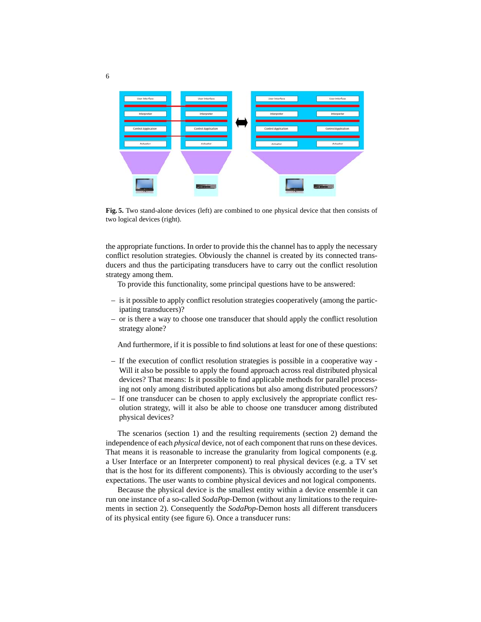

**Fig. 5.** Two stand-alone devices (left) are combined to one physical device that then consists of two logical devices (right).

the appropriate functions. In order to provide this the channel has to apply the necessary conflict resolution strategies. Obviously the channel is created by its connected transducers and thus the participating transducers have to carry out the conflict resolution strategy among them.

To provide this functionality, some principal questions have to be answered:

- is it possible to apply conflict resolution strategies cooperatively (among the participating transducers)?
- or is there a way to choose one transducer that should apply the conflict resolution strategy alone?

And furthermore, if it is possible to find solutions at least for one of these questions:

- If the execution of conflict resolution strategies is possible in a cooperative way Will it also be possible to apply the found approach across real distributed physical devices? That means: Is it possible to find applicable methods for parallel processing not only among distributed applications but also among distributed processors?
- If one transducer can be chosen to apply exclusively the appropriate conflict resolution strategy, will it also be able to choose one transducer among distributed physical devices?

The scenarios (section 1) and the resulting requirements (section 2) demand the independence of each *physical* device, not of each component that runs on these devices. That means it is reasonable to increase the granularity from logical components (e.g. a User Interface or an Interpreter component) to real physical devices (e.g. a TV set that is the host for its different components). This is obviously according to the user's expectations. The user wants to combine physical devices and not logical components.

Because the physical device is the smallest entity within a device ensemble it can run one instance of a so-called *SodaPop*-Demon (without any limitations to the requirements in section 2). Consequently the *SodaPop*-Demon hosts all different transducers of its physical entity (see figure 6). Once a transducer runs: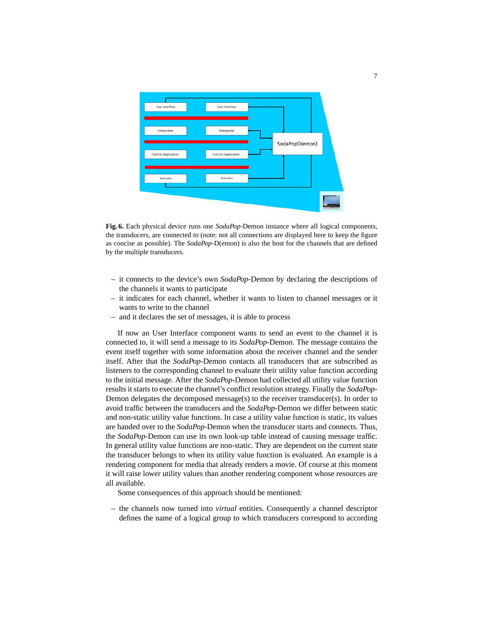

**Fig. 6.** Each physical device runs one *SodaPop*-Demon instance where all logical components, the transducers, are connected to (note: not all connections are displayed here to keep the figure as concise as possible). The *SodaPop*-D(emon) is also the host for the channels that are defined by the multiple transducers.

- it connects to the device's own *SodaPop*-Demon by declaring the descriptions of the channels it wants to participate
- it indicates for each channel, whether it wants to listen to channel messages or it wants to write to the channel
- and it declares the set of messages, it is able to process

If now an User Interface component wants to send an event to the channel it is connected to, it will send a message to its *SodaPop*-Demon. The message contains the event itself together with some information about the receiver channel and the sender itself. After that the *SodaPop*-Demon contacts all transducers that are subscribed as listeners to the corresponding channel to evaluate their utility value function according to the initial message. After the *SodaPop*-Demon had collected all utility value function results it starts to execute the channel's conflict resolution strategy. Finally the *SodaPop*-Demon delegates the decomposed message(s) to the receiver transducer(s). In order to avoid traffic between the transducers and the *SodaPop*-Demon we differ between static and non-static utility value functions. In case a utility value function is static, its values are handed over to the *SodaPop*-Demon when the transducer starts and connects. Thus, the *SodaPop*-Demon can use its own look-up table instead of causing message traffic. In general utility value functions are non-static. They are dependent on the current state the transducer belongs to when its utility value function is evaluated. An example is a rendering component for media that already renders a movie. Of course at this moment it will raise lower utility values than another rendering component whose resources are all available.

Some consequences of this approach should be mentioned:

– the channels now turned into *virtual* entities. Consequently a channel descriptor defines the name of a logical group to which transducers correspond to according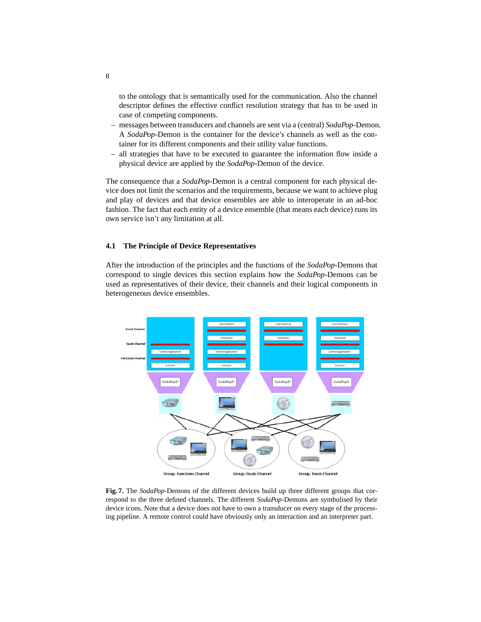to the ontology that is semantically used for the communication. Also the channel descriptor defines the effective conflict resolution strategy that has to be used in case of competing components.

- messages between transducers and channels are sent via a (central) *SodaPop*-Demon. A *SodaPop*-Demon is the container for the device's channels as well as the container for its different components and their utility value functions.
- all strategies that have to be executed to guarantee the information flow inside a physical device are applied by the *SodaPop*-Demon of the device.

The consequence that a *SodaPop*-Demon is a central component for each physical device does not limit the scenarios and the requirements, because we want to achieve plug and play of devices and that device ensembles are able to interoperate in an ad-hoc fashion. The fact that each entity of a device ensemble (that means each device) runs its own service isn't any limitation at all.

#### **4.1 The Principle of Device Representatives**

After the introduction of the principles and the functions of the *SodaPop*-Demons that correspond to single devices this section explains how the *SodaPop*-Demons can be used as representatives of their device, their channels and their logical components in heterogeneous device ensembles.



**Fig. 7.** The *SodaPop*-Demons of the different devices build up three different groups that correspond to the three defined channels. The different *SodaPop*-Demons are symbolised by their device icons. Note that a device does not have to own a transducer on every stage of the processing pipeline. A remote control could have obviously only an interaction and an interpreter part.

8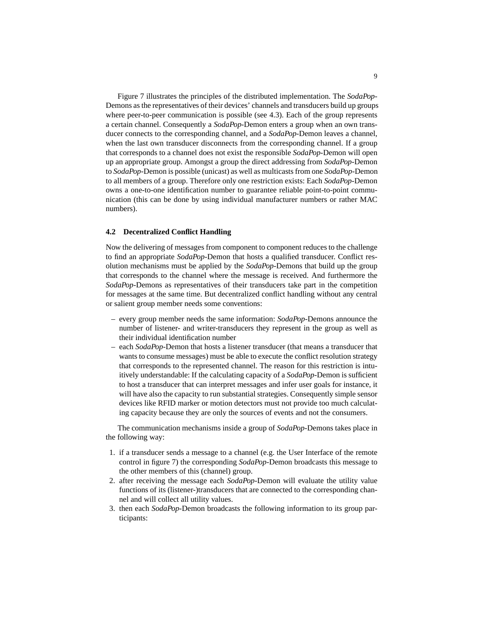Figure 7 illustrates the principles of the distributed implementation. The *SodaPop*-Demons as the representatives of their devices' channels and transducers build up groups where peer-to-peer communication is possible (see 4.3). Each of the group represents a certain channel. Consequently a *SodaPop*-Demon enters a group when an own transducer connects to the corresponding channel, and a *SodaPop*-Demon leaves a channel, when the last own transducer disconnects from the corresponding channel. If a group that corresponds to a channel does not exist the responsible *SodaPop*-Demon will open up an appropriate group. Amongst a group the direct addressing from *SodaPop*-Demon to *SodaPop*-Demon is possible (unicast) as well as multicasts from one *SodaPop*-Demon to all members of a group. Therefore only one restriction exists: Each *SodaPop*-Demon owns a one-to-one identification number to guarantee reliable point-to-point communication (this can be done by using individual manufacturer numbers or rather MAC numbers).

#### **4.2 Decentralized Conflict Handling**

Now the delivering of messages from component to component reduces to the challenge to find an appropriate *SodaPop*-Demon that hosts a qualified transducer. Conflict resolution mechanisms must be applied by the *SodaPop*-Demons that build up the group that corresponds to the channel where the message is received. And furthermore the *SodaPop*-Demons as representatives of their transducers take part in the competition for messages at the same time. But decentralized conflict handling without any central or salient group member needs some conventions:

- every group member needs the same information: *SodaPop*-Demons announce the number of listener- and writer-transducers they represent in the group as well as their individual identification number
- each *SodaPop*-Demon that hosts a listener transducer (that means a transducer that wants to consume messages) must be able to execute the conflict resolution strategy that corresponds to the represented channel. The reason for this restriction is intuitively understandable: If the calculating capacity of a *SodaPop*-Demon is sufficient to host a transducer that can interpret messages and infer user goals for instance, it will have also the capacity to run substantial strategies. Consequently simple sensor devices like RFID marker or motion detectors must not provide too much calculating capacity because they are only the sources of events and not the consumers.

The communication mechanisms inside a group of *SodaPop*-Demons takes place in the following way:

- 1. if a transducer sends a message to a channel (e.g. the User Interface of the remote control in figure 7) the corresponding *SodaPop*-Demon broadcasts this message to the other members of this (channel) group.
- 2. after receiving the message each *SodaPop*-Demon will evaluate the utility value functions of its (listener-)transducers that are connected to the corresponding channel and will collect all utility values.
- 3. then each *SodaPop*-Demon broadcasts the following information to its group participants: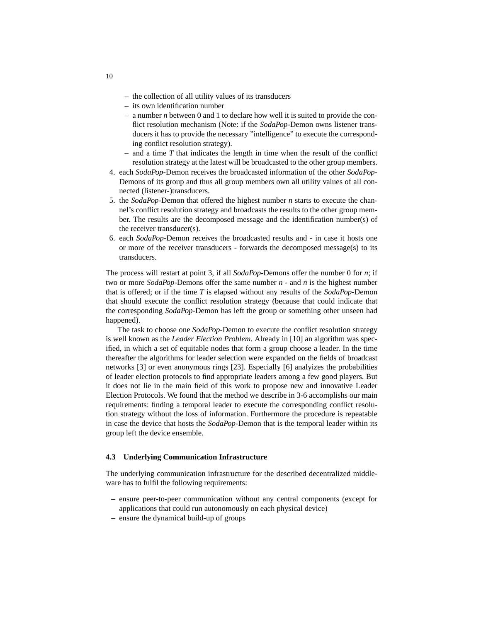- the collection of all utility values of its transducers
- its own identification number
- a number *n* between 0 and 1 to declare how well it is suited to provide the conflict resolution mechanism (Note: if the *SodaPop*-Demon owns listener transducers it has to provide the necessary "intelligence" to execute the corresponding conflict resolution strategy).
- and a time *T* that indicates the length in time when the result of the conflict resolution strategy at the latest will be broadcasted to the other group members.
- 4. each *SodaPop*-Demon receives the broadcasted information of the other *SodaPop*-Demons of its group and thus all group members own all utility values of all connected (listener-)transducers.
- 5. the *SodaPop*-Demon that offered the highest number *n* starts to execute the channel's conflict resolution strategy and broadcasts the results to the other group member. The results are the decomposed message and the identification number(s) of the receiver transducer(s).
- 6. each *SodaPop*-Demon receives the broadcasted results and in case it hosts one or more of the receiver transducers - forwards the decomposed message(s) to its transducers.

The process will restart at point 3, if all *SodaPop*-Demons offer the number 0 for *n*; if two or more *SodaPop*-Demons offer the same number *n* - and *n* is the highest number that is offered; or if the time *T* is elapsed without any results of the *SodaPop*-Demon that should execute the conflict resolution strategy (because that could indicate that the corresponding *SodaPop*-Demon has left the group or something other unseen had happened).

The task to choose one *SodaPop*-Demon to execute the conflict resolution strategy is well known as the *Leader Election Problem*. Already in [10] an algorithm was specified, in which a set of equitable nodes that form a group choose a leader. In the time thereafter the algorithms for leader selection were expanded on the fields of broadcast networks [3] or even anonymous rings [23]. Especially [6] analyizes the probabilities of leader election protocols to find appropriate leaders among a few good players. But it does not lie in the main field of this work to propose new and innovative Leader Election Protocols. We found that the method we describe in 3-6 accomplishs our main requirements: finding a temporal leader to execute the corresponding conflict resolution strategy without the loss of information. Furthermore the procedure is repeatable in case the device that hosts the *SodaPop*-Demon that is the temporal leader within its group left the device ensemble.

#### **4.3 Underlying Communication Infrastructure**

The underlying communication infrastructure for the described decentralized middleware has to fulfil the following requirements:

- ensure peer-to-peer communication without any central components (except for applications that could run autonomously on each physical device)
- ensure the dynamical build-up of groups

10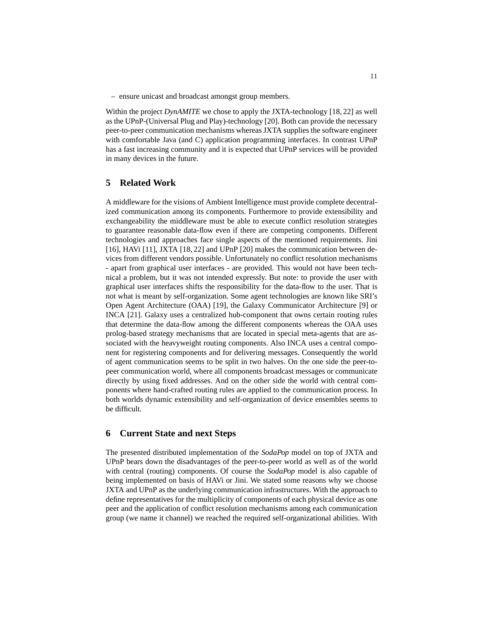– ensure unicast and broadcast amongst group members.

Within the project *DynAMITE* we chose to apply the JXTA-technology [18, 22] as well as the UPnP-(Universal Plug and Play)-technology [20]. Both can provide the necessary peer-to-peer communication mechanisms whereas JXTA supplies the software engineer with comfortable Java (and C) application programming interfaces. In contrast UPnP has a fast increasing community and it is expected that UPnP services will be provided in many devices in the future.

## **5 Related Work**

A middleware for the visions of Ambient Intelligence must provide complete decentralized communication among its components. Furthermore to provide extensibility and exchangeability the middleware must be able to execute conflict resolution strategies to guarantee reasonable data-flow even if there are competing components. Different technologies and approaches face single aspects of the mentioned requirements. Jini [16], HAVi [11], JXTA [18, 22] and UPnP [20] makes the communication between devices from different vendors possible. Unfortunately no conflict resolution mechanisms - apart from graphical user interfaces - are provided. This would not have been technical a problem, but it was not intended expressly. But note: to provide the user with graphical user interfaces shifts the responsibility for the data-flow to the user. That is not what is meant by self-organization. Some agent technologies are known like SRI's Open Agent Architecture (OAA) [19], the Galaxy Communicator Architecture [9] or INCA [21]. Galaxy uses a centralized hub-component that owns certain routing rules that determine the data-flow among the different components whereas the OAA uses prolog-based strategy mechanisms that are located in special meta-agents that are associated with the heavyweight routing components. Also INCA uses a central component for registering components and for delivering messages. Consequently the world of agent communication seems to be split in two halves. On the one side the peer-topeer communication world, where all components broadcast messages or communicate directly by using fixed addresses. And on the other side the world with central components where hand-crafted routing rules are applied to the communication process. In both worlds dynamic extensibility and self-organization of device ensembles seems to be difficult.

## **6 Current State and next Steps**

The presented distributed implementation of the *SodaPop* model on top of JXTA and UPnP bears down the disadvantages of the peer-to-peer world as well as of the world with central (routing) components. Of course the *SodaPop* model is also capable of being implemented on basis of HAVi or Jini. We stated some reasons why we choose JXTA and UPnP as the underlying communication infrastructures. With the approach to define representatives for the multiplicity of components of each physical device as one peer and the application of conflict resolution mechanisms among each communication group (we name it channel) we reached the required self-organizational abilities. With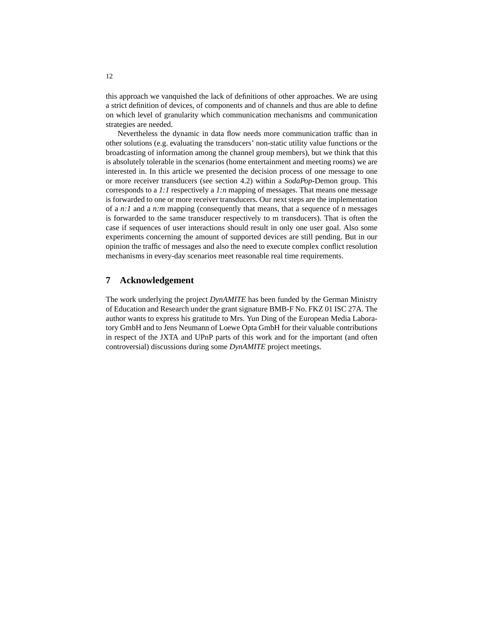this approach we vanquished the lack of definitions of other approaches. We are using a strict definition of devices, of components and of channels and thus are able to define on which level of granularity which communication mechanisms and communication strategies are needed.

Nevertheless the dynamic in data flow needs more communication traffic than in other solutions (e.g. evaluating the transducers' non-static utility value functions or the broadcasting of information among the channel group members), but we think that this is absolutely tolerable in the scenarios (home entertainment and meeting rooms) we are interested in. In this article we presented the decision process of one message to one or more receiver transducers (see section 4.2) within a *SodaPop*-Demon group. This corresponds to a *1:1* respectively a *1:n* mapping of messages. That means one message is forwarded to one or more receiver transducers. Our next steps are the implementation of a *n:1* and a *n:m* mapping (consequently that means, that a sequence of n messages is forwarded to the same transducer respectively to m transducers). That is often the case if sequences of user interactions should result in only one user goal. Also some experiments concerning the amount of supported devices are still pending. But in our opinion the traffic of messages and also the need to execute complex conflict resolution mechanisms in every-day scenarios meet reasonable real time requirements.

## **7 Acknowledgement**

The work underlying the project *DynAMITE* has been funded by the German Ministry of Education and Research under the grant signature BMB-F No. FKZ 01 ISC 27A. The author wants to express his gratitude to Mrs. Yun Ding of the European Media Laboratory GmbH and to Jens Neumann of Loewe Opta GmbH for their valuable contributions in respect of the JXTA and UPnP parts of this work and for the important (and often controversial) discussions during some *DynAMITE* project meetings.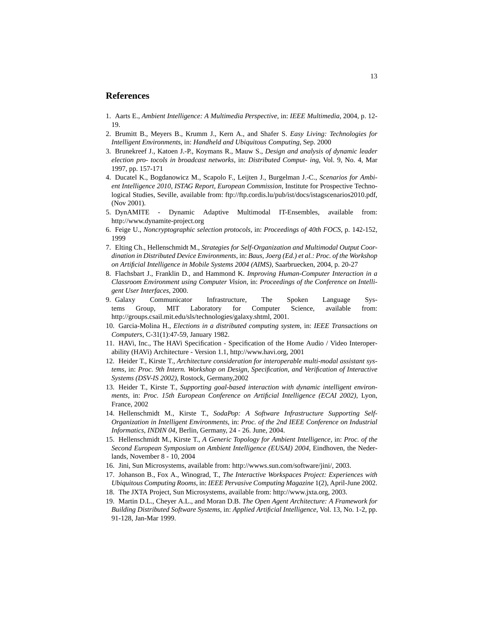## **References**

- 1. Aarts E., *Ambient Intelligence: A Multimedia Perspective*, in: *IEEE Multimedia*, 2004, p. 12- 19.
- 2. Brumitt B., Meyers B., Krumm J., Kern A., and Shafer S. *Easy Living: Technologies for Intelligent Environments*, in: *Handheld and Ubiquitous Computing*, Sep. 2000
- 3. Brunekreef J., Katoen J.-P., Koymans R., Mauw S., *Design and analysis of dynamic leader election pro- tocols in broadcast networks*, in: *Distributed Comput- ing*, Vol. 9, No. 4, Mar 1997, pp. 157-171
- 4. Ducatel K., Bogdanowicz M., Scapolo F., Leijten J., Burgelman J.-C., *Scenarios for Ambient Intelligence 2010, ISTAG Report, European Commission*, Institute for Prospective Technological Studies, Seville, available from: ftp://ftp.cordis.lu/pub/ist/docs/istagscenarios2010.pdf, (Nov 2001).
- 5. DynAMITE Dynamic Adaptive Multimodal IT-Ensembles, available from: http://www.dynamite-project.org
- 6. Feige U., *Noncryptographic selection protocols*, in: *Proceedings of 40th FOCS*, p. 142-152, 1999
- 7. Elting Ch., Hellenschmidt M., *Strategies for Self-Organization and Multimodal Output Coordination in Distributed Device Environments*, in: *Baus, Joerg (Ed.) et al.: Proc. of the Workshop on Artificial Intelligence in Mobile Systems 2004 (AIMS)*, Saarbruecken, 2004, p. 20-27
- 8. Flachsbart J., Franklin D., and Hammond K. *Improving Human-Computer Interaction in a Classroom Environment using Computer Vision*, in: *Proceedings of the Conference on Intelligent User Interfaces*, 2000.
- 9. Galaxy Communicator Infrastructure, The Spoken Language Systems Group, MIT Laboratory for Computer Science, available from: http://groups.csail.mit.edu/sls/technologies/galaxy.shtml, 2001.
- 10. Garcia-Molina H., *Elections in a distributed computing system*, in: *IEEE Transactions on Computers*, C-31(1):47-59, January 1982.
- 11. HAVi, Inc., The HAVi Specification Specification of the Home Audio / Video Interoperability (HAVi) Architecture - Version 1.1, http://www.havi.org, 2001
- 12. Heider T., Kirste T., *Architecture consideration for interoperable multi-modal assistant systems*, in: *Proc. 9th Intern. Workshop on Design, Specification, and Verification of Interactive Systems (DSV-IS 2002)*, Rostock, Germany,2002
- 13. Heider T., Kirste T., *Supporting goal-based interaction with dynamic intelligent environments*, in: *Proc. 15th European Conference on Artificial Intelligence (ECAI 2002)*, Lyon, France, 2002
- 14. Hellenschmidt M., Kirste T., *SodaPop: A Software Infrastructure Supporting Self-Organization in Intelligent Environments*, in: *Proc. of the 2nd IEEE Conference on Industrial Informatics, INDIN 04*, Berlin, Germany, 24 - 26. June, 2004.
- 15. Hellenschmidt M., Kirste T., *A Generic Topology for Ambient Intelligence*, in: *Proc. of the Second European Symposium on Ambient Intelligence (EUSAI) 2004*, Eindhoven, the Nederlands, November 8 - 10, 2004
- 16. Jini, Sun Microsystems, available from: http://wwws.sun.com/software/jini/, 2003.
- 17. Johanson B., Fox A., Winograd, T., *The Interactive Workspaces Project: Experiences with Ubiquitous Computing Rooms*, in: *IEEE Pervasive Computing Magazine* 1(2), April-June 2002.
- 18. The JXTA Project, Sun Microsystems, available from: http://www.jxta.org, 2003.
- 19. Martin D.L., Cheyer A.L., and Moran D.B. *The Open Agent Architecture: A Framework for Building Distributed Software Systems*, in: *Applied Artificial Intelligence*, Vol. 13, No. 1-2, pp. 91-128, Jan-Mar 1999.